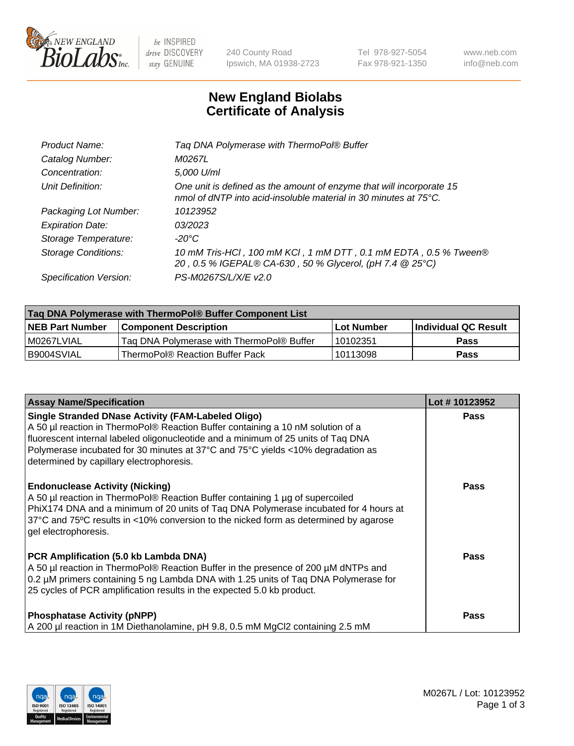

 $be$  INSPIRED drive DISCOVERY stay GENUINE

240 County Road Ipswich, MA 01938-2723 Tel 978-927-5054 Fax 978-921-1350 www.neb.com info@neb.com

## **New England Biolabs Certificate of Analysis**

| Tag DNA Polymerase with ThermoPol® Buffer                                                                                                |
|------------------------------------------------------------------------------------------------------------------------------------------|
| M0267L                                                                                                                                   |
| 5,000 U/ml                                                                                                                               |
| One unit is defined as the amount of enzyme that will incorporate 15<br>nmol of dNTP into acid-insoluble material in 30 minutes at 75°C. |
| 10123952                                                                                                                                 |
| 03/2023                                                                                                                                  |
| $-20^{\circ}$ C                                                                                                                          |
| 10 mM Tris-HCl, 100 mM KCl, 1 mM DTT, 0.1 mM EDTA, 0.5 % Tween®<br>20, 0.5 % IGEPAL® CA-630, 50 % Glycerol, (pH 7.4 @ 25°C)              |
| PS-M0267S/L/X/E v2.0                                                                                                                     |
|                                                                                                                                          |

| Taq DNA Polymerase with ThermoPol® Buffer Component List |                                           |                   |                      |  |  |
|----------------------------------------------------------|-------------------------------------------|-------------------|----------------------|--|--|
| <b>NEB Part Number</b>                                   | Component Description_                    | <b>Lot Number</b> | Individual QC Result |  |  |
| I M0267LVIAL                                             | Tag DNA Polymerase with ThermoPol® Buffer | 10102351          | Pass                 |  |  |
| B9004SVIAL                                               | ThermoPol® Reaction Buffer Pack           | 10113098          | Pass                 |  |  |

| <b>Assay Name/Specification</b>                                                                                                                                                                                                                                                                                                                                  | Lot #10123952 |
|------------------------------------------------------------------------------------------------------------------------------------------------------------------------------------------------------------------------------------------------------------------------------------------------------------------------------------------------------------------|---------------|
| <b>Single Stranded DNase Activity (FAM-Labeled Oligo)</b><br>A 50 µl reaction in ThermoPol® Reaction Buffer containing a 10 nM solution of a<br>fluorescent internal labeled oligonucleotide and a minimum of 25 units of Taq DNA<br>Polymerase incubated for 30 minutes at 37°C and 75°C yields <10% degradation as<br>determined by capillary electrophoresis. | <b>Pass</b>   |
| <b>Endonuclease Activity (Nicking)</b><br>A 50 µl reaction in ThermoPol® Reaction Buffer containing 1 µg of supercoiled<br>PhiX174 DNA and a minimum of 20 units of Taq DNA Polymerase incubated for 4 hours at<br>37°C and 75°C results in <10% conversion to the nicked form as determined by agarose<br>gel electrophoresis.                                  | Pass          |
| PCR Amplification (5.0 kb Lambda DNA)<br>A 50 µl reaction in ThermoPol® Reaction Buffer in the presence of 200 µM dNTPs and<br>0.2 µM primers containing 5 ng Lambda DNA with 1.25 units of Taq DNA Polymerase for<br>25 cycles of PCR amplification results in the expected 5.0 kb product.                                                                     | Pass          |
| <b>Phosphatase Activity (pNPP)</b><br>A 200 µl reaction in 1M Diethanolamine, pH 9.8, 0.5 mM MgCl2 containing 2.5 mM                                                                                                                                                                                                                                             | Pass          |

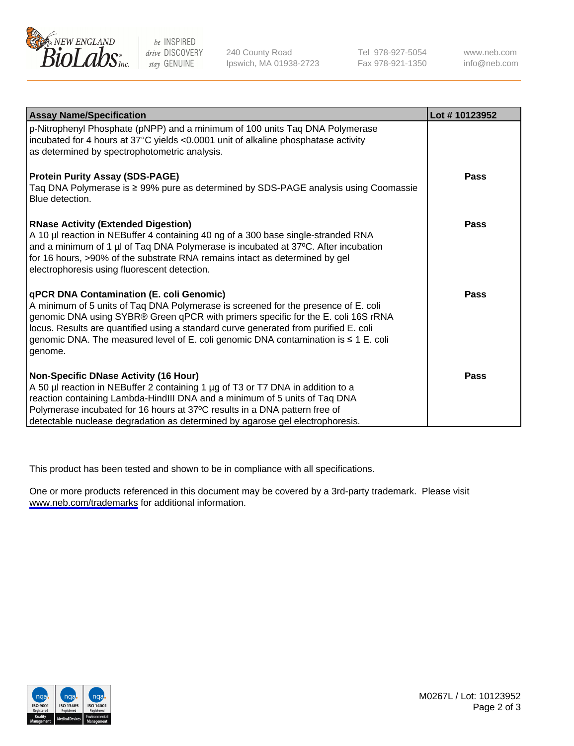

be INSPIRED drive DISCOVERY stay GENUINE

240 County Road Ipswich, MA 01938-2723 Tel 978-927-5054 Fax 978-921-1350

www.neb.com info@neb.com

| <b>Assay Name/Specification</b>                                                                                                                                                                                                                                                                                                                                                                                      | Lot #10123952 |
|----------------------------------------------------------------------------------------------------------------------------------------------------------------------------------------------------------------------------------------------------------------------------------------------------------------------------------------------------------------------------------------------------------------------|---------------|
| p-Nitrophenyl Phosphate (pNPP) and a minimum of 100 units Taq DNA Polymerase<br>incubated for 4 hours at 37°C yields <0.0001 unit of alkaline phosphatase activity<br>as determined by spectrophotometric analysis.                                                                                                                                                                                                  |               |
| <b>Protein Purity Assay (SDS-PAGE)</b><br>Taq DNA Polymerase is ≥ 99% pure as determined by SDS-PAGE analysis using Coomassie<br>Blue detection.                                                                                                                                                                                                                                                                     | Pass          |
| <b>RNase Activity (Extended Digestion)</b><br>A 10 µl reaction in NEBuffer 4 containing 40 ng of a 300 base single-stranded RNA<br>and a minimum of 1 µl of Taq DNA Polymerase is incubated at 37°C. After incubation<br>for 16 hours, >90% of the substrate RNA remains intact as determined by gel<br>electrophoresis using fluorescent detection.                                                                 | Pass          |
| <b>qPCR DNA Contamination (E. coli Genomic)</b><br>A minimum of 5 units of Taq DNA Polymerase is screened for the presence of E. coli<br>genomic DNA using SYBR® Green qPCR with primers specific for the E. coli 16S rRNA<br>locus. Results are quantified using a standard curve generated from purified E. coli<br>genomic DNA. The measured level of E. coli genomic DNA contamination is ≤ 1 E. coli<br>genome. | Pass          |
| Non-Specific DNase Activity (16 Hour)<br>A 50 µl reaction in NEBuffer 2 containing 1 µg of T3 or T7 DNA in addition to a<br>reaction containing Lambda-HindIII DNA and a minimum of 5 units of Taq DNA<br>Polymerase incubated for 16 hours at 37°C results in a DNA pattern free of<br>detectable nuclease degradation as determined by agarose gel electrophoresis.                                                | Pass          |

This product has been tested and shown to be in compliance with all specifications.

One or more products referenced in this document may be covered by a 3rd-party trademark. Please visit <www.neb.com/trademarks>for additional information.